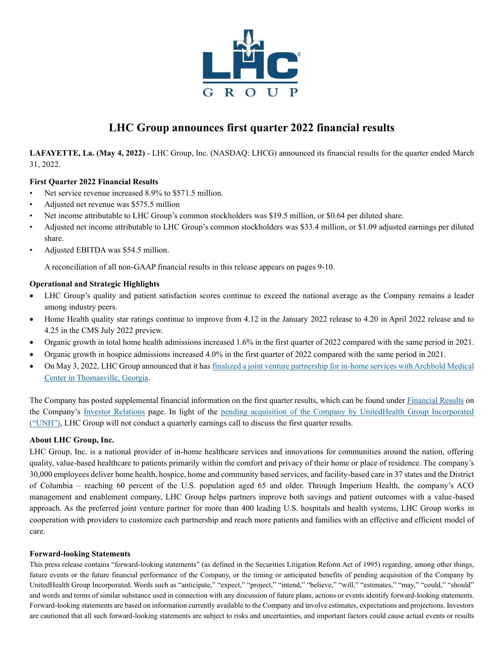

## **LHC Group announces first quarter 2022 financial results**

**LAFAYETTE, La. (May 4, 2022)** - LHC Group, Inc. (NASDAQ: LHCG) announced its financial results for the quarter ended March 31, 2022.

#### **First Quarter 2022 Financial Results**

- Net service revenue increased 8.9% to \$571.5 million.
- Adjusted net revenue was \$575.5 million
- Net income attributable to LHC Group's common stockholders was \$19.5 million, or \$0.64 per diluted share.
- Adjusted net income attributable to LHC Group's common stockholders was \$33.4 million, or \$1.09 adjusted earnings per diluted share.
- Adjusted EBITDA was \$54.5 million.

A reconciliation of all non-GAAP financial results in this release appears on pages 9-10.

#### **Operational and Strategic Highlights**

- LHC Group's quality and patient satisfaction scores continue to exceed the national average as the Company remains a leader among industry peers.
- Home Health quality star ratings continue to improve from 4.12 in the January 2022 release to 4.20 in April 2022 release and to 4.25 in the CMS July 2022 preview.
- Organic growth in total home health admissions increased 1.6% in the first quarter of 2022 compared with the same period in 2021.
- Organic growth in hospice admissions increased 4.0% in the first quarter of 2022 compared with the same period in 2021.
- On May 3, 2022, LHC Group announced that it has [finalized a joint venture partnership for in-home services with Archbold Medical](https://investor.lhcgroup.com/news-events/press-releases/detail/390/lhc-group-finalizes-home-health-partnership-with-archbold)  [Center in Thomasville, Georgia.](https://investor.lhcgroup.com/news-events/press-releases/detail/390/lhc-group-finalizes-home-health-partnership-with-archbold)

The Company has posted supplemental financial information on the first quarter results, which can be found unde[r Financial Results](https://investor.lhcgroup.com/financial-information/financial-results) on the Company's [Investor Relations](http://investor.lhcgroup.com/) page. In light of the [pending acquisition of the Company by UnitedHealth Group Incorporated](https://investor.lhcgroup.com/news-events/press-releases/detail/388/optum-and-lhc-group-to-combine-advancing-abilities-to)  [\("UNH"\),](https://investor.lhcgroup.com/news-events/press-releases/detail/388/optum-and-lhc-group-to-combine-advancing-abilities-to) LHC Group will not conduct a quarterly earnings call to discuss the first quarter results.

#### **About LHC Group, Inc.**

LHC Group, Inc. is a national provider of in-home healthcare services and innovations for communities around the nation, offering quality, value-based healthcare to patients primarily within the comfort and privacy of their home or place of residence. The company's 30,000 employees deliver home health, hospice, home and community based services, and facility-based care in 37 states and the District of Columbia – reaching 60 percent of the U.S. population aged 65 and older. Through Imperium Health, the company's ACO management and enablement company, LHC Group helps partners improve both savings and patient outcomes with a value-based approach. As the preferred joint venture partner for more than 400 leading U.S. hospitals and health systems, LHC Group works in cooperation with providers to customize each partnership and reach more patients and families with an effective and efficient model of care.

#### **Forward-looking Statements**

This press release contains "forward-looking statements" (as defined in the Securities Litigation Reform Act of 1995) regarding, among other things, future events or the future financial performance of the Company, or the timing or anticipated benefits of pending acquisition of the Company by UnitedHealth Group Incorporated. Words such as "anticipate," "expect," "project," "intend," "believe," "will," "estimates," "may," "could," "should" and words and terms of similar substance used in connection with any discussion of future plans, actions or events identify forward-looking statements. Forward-looking statements are based on information currently available to the Company and involve estimates, expectations and projections. Investors are cautioned that all such forward-looking statements are subject to risks and uncertainties, and important factors could cause actual events or results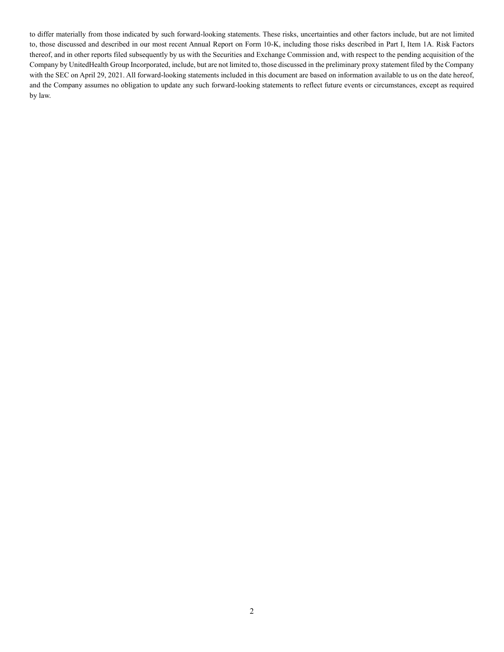to differ materially from those indicated by such forward-looking statements. These risks, uncertainties and other factors include, but are not limited to, those discussed and described in our most recent Annual Report on Form 10-K, including those risks described in Part I, Item 1A. Risk Factors thereof, and in other reports filed subsequently by us with the Securities and Exchange Commission and, with respect to the pending acquisition of the Company by UnitedHealth Group Incorporated, include, but are not limited to, those discussed in the preliminary proxy statement filed by the Company with the SEC on April 29, 2021. All forward-looking statements included in this document are based on information available to us on the date hereof, and the Company assumes no obligation to update any such forward-looking statements to reflect future events or circumstances, except as required by law.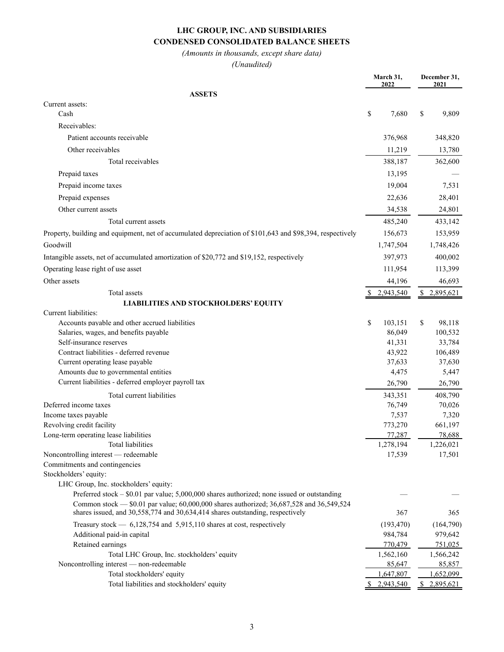## **LHC GROUP, INC. AND SUBSIDIARIES CONDENSED CONSOLIDATED BALANCE SHEETS**

## *(Amounts in thousands, except share data)*

| <b>ASSETS</b><br>Current assets:<br>\$<br>7,680<br>\$<br>Cash<br>9,809<br>Receivables:<br>Patient accounts receivable<br>376,968<br>348,820<br>Other receivables<br>11,219<br>13,780<br>Total receivables<br>388,187<br>362,600<br>Prepaid taxes<br>13,195<br>Prepaid income taxes<br>19,004<br>7,531<br>28,401<br>Prepaid expenses<br>22,636<br>24,801<br>Other current assets<br>34,538<br>485,240<br>433,142<br>Total current assets<br>153,959<br>Property, building and equipment, net of accumulated depreciation of \$101,643 and \$98,394, respectively<br>156,673<br>1,748,426<br>Goodwill<br>1,747,504<br>400,002<br>Intangible assets, net of accumulated amortization of \$20,772 and \$19,152, respectively<br>397,973<br>Operating lease right of use asset<br>111,954<br>113,399<br>Other assets<br>44,196<br>46,693<br>Total assets<br>2,943,540<br>2,895,621<br><b>LIABILITIES AND STOCKHOLDERS' EQUITY</b><br>Current liabilities:<br>\$<br>\$<br>98,118<br>Accounts payable and other accrued liabilities<br>103,151<br>86,049<br>100,532<br>Salaries, wages, and benefits payable<br>33,784<br>Self-insurance reserves<br>41,331<br>Contract liabilities - deferred revenue<br>106,489<br>43,922<br>37,630<br>Current operating lease payable<br>37,633<br>4,475<br>Amounts due to governmental entities<br>5,447<br>Current liabilities - deferred employer payroll tax<br>26,790<br>26,790<br>Total current liabilities<br>343,351<br>408,790<br>76,749<br>Deferred income taxes<br>70,026<br>Income taxes payable<br>7,537<br>7,320<br>773,270<br>Revolving credit facility<br>661,197<br>77,287<br>78,688<br>Long-term operating lease liabilities<br>Total liabilities<br>1,278,194<br>1,226,021<br>17,539<br>17,501<br>Noncontrolling interest — redeemable<br>Commitments and contingencies<br>Stockholders' equity:<br>LHC Group, Inc. stockholders' equity:<br>Preferred stock $-$ \$0.01 par value; 5,000,000 shares authorized; none issued or outstanding<br>Common stock — \$0.01 par value; 60,000,000 shares authorized; 36,687,528 and 36,549,524<br>shares issued, and 30,558,774 and 30,634,414 shares outstanding, respectively<br>367<br>365<br>Treasury stock $-6,128,754$ and 5,915,110 shares at cost, respectively<br>(193, 470)<br>Additional paid-in capital<br>984,784<br>979,642<br>Retained earnings<br>770,479<br>751,025<br>1,562,160<br>Total LHC Group, Inc. stockholders' equity<br>1,566,242<br>Noncontrolling interest — non-redeemable<br>85,647<br>85,857<br>Total stockholders' equity<br>1,647,807<br>1,652,099<br>Total liabilities and stockholders' equity<br>\$2,895,621<br>2,943,540 |  | March 31,<br>2022 |  | December 31,<br>2021 |
|-------------------------------------------------------------------------------------------------------------------------------------------------------------------------------------------------------------------------------------------------------------------------------------------------------------------------------------------------------------------------------------------------------------------------------------------------------------------------------------------------------------------------------------------------------------------------------------------------------------------------------------------------------------------------------------------------------------------------------------------------------------------------------------------------------------------------------------------------------------------------------------------------------------------------------------------------------------------------------------------------------------------------------------------------------------------------------------------------------------------------------------------------------------------------------------------------------------------------------------------------------------------------------------------------------------------------------------------------------------------------------------------------------------------------------------------------------------------------------------------------------------------------------------------------------------------------------------------------------------------------------------------------------------------------------------------------------------------------------------------------------------------------------------------------------------------------------------------------------------------------------------------------------------------------------------------------------------------------------------------------------------------------------------------------------------------------------------------------------------------------------------------------------------------------------------------------------------------------------------------------------------------------------------------------------------------------------------------------------------------------------------------------------------------------------------------------------------------------------------------------------------------------------------------------------------------------------------------------------------------------------------------------------|--|-------------------|--|----------------------|
| (164,790)                                                                                                                                                                                                                                                                                                                                                                                                                                                                                                                                                                                                                                                                                                                                                                                                                                                                                                                                                                                                                                                                                                                                                                                                                                                                                                                                                                                                                                                                                                                                                                                                                                                                                                                                                                                                                                                                                                                                                                                                                                                                                                                                                                                                                                                                                                                                                                                                                                                                                                                                                                                                                                             |  |                   |  |                      |
|                                                                                                                                                                                                                                                                                                                                                                                                                                                                                                                                                                                                                                                                                                                                                                                                                                                                                                                                                                                                                                                                                                                                                                                                                                                                                                                                                                                                                                                                                                                                                                                                                                                                                                                                                                                                                                                                                                                                                                                                                                                                                                                                                                                                                                                                                                                                                                                                                                                                                                                                                                                                                                                       |  |                   |  |                      |
|                                                                                                                                                                                                                                                                                                                                                                                                                                                                                                                                                                                                                                                                                                                                                                                                                                                                                                                                                                                                                                                                                                                                                                                                                                                                                                                                                                                                                                                                                                                                                                                                                                                                                                                                                                                                                                                                                                                                                                                                                                                                                                                                                                                                                                                                                                                                                                                                                                                                                                                                                                                                                                                       |  |                   |  |                      |
|                                                                                                                                                                                                                                                                                                                                                                                                                                                                                                                                                                                                                                                                                                                                                                                                                                                                                                                                                                                                                                                                                                                                                                                                                                                                                                                                                                                                                                                                                                                                                                                                                                                                                                                                                                                                                                                                                                                                                                                                                                                                                                                                                                                                                                                                                                                                                                                                                                                                                                                                                                                                                                                       |  |                   |  |                      |
|                                                                                                                                                                                                                                                                                                                                                                                                                                                                                                                                                                                                                                                                                                                                                                                                                                                                                                                                                                                                                                                                                                                                                                                                                                                                                                                                                                                                                                                                                                                                                                                                                                                                                                                                                                                                                                                                                                                                                                                                                                                                                                                                                                                                                                                                                                                                                                                                                                                                                                                                                                                                                                                       |  |                   |  |                      |
|                                                                                                                                                                                                                                                                                                                                                                                                                                                                                                                                                                                                                                                                                                                                                                                                                                                                                                                                                                                                                                                                                                                                                                                                                                                                                                                                                                                                                                                                                                                                                                                                                                                                                                                                                                                                                                                                                                                                                                                                                                                                                                                                                                                                                                                                                                                                                                                                                                                                                                                                                                                                                                                       |  |                   |  |                      |
|                                                                                                                                                                                                                                                                                                                                                                                                                                                                                                                                                                                                                                                                                                                                                                                                                                                                                                                                                                                                                                                                                                                                                                                                                                                                                                                                                                                                                                                                                                                                                                                                                                                                                                                                                                                                                                                                                                                                                                                                                                                                                                                                                                                                                                                                                                                                                                                                                                                                                                                                                                                                                                                       |  |                   |  |                      |
|                                                                                                                                                                                                                                                                                                                                                                                                                                                                                                                                                                                                                                                                                                                                                                                                                                                                                                                                                                                                                                                                                                                                                                                                                                                                                                                                                                                                                                                                                                                                                                                                                                                                                                                                                                                                                                                                                                                                                                                                                                                                                                                                                                                                                                                                                                                                                                                                                                                                                                                                                                                                                                                       |  |                   |  |                      |
|                                                                                                                                                                                                                                                                                                                                                                                                                                                                                                                                                                                                                                                                                                                                                                                                                                                                                                                                                                                                                                                                                                                                                                                                                                                                                                                                                                                                                                                                                                                                                                                                                                                                                                                                                                                                                                                                                                                                                                                                                                                                                                                                                                                                                                                                                                                                                                                                                                                                                                                                                                                                                                                       |  |                   |  |                      |
|                                                                                                                                                                                                                                                                                                                                                                                                                                                                                                                                                                                                                                                                                                                                                                                                                                                                                                                                                                                                                                                                                                                                                                                                                                                                                                                                                                                                                                                                                                                                                                                                                                                                                                                                                                                                                                                                                                                                                                                                                                                                                                                                                                                                                                                                                                                                                                                                                                                                                                                                                                                                                                                       |  |                   |  |                      |
|                                                                                                                                                                                                                                                                                                                                                                                                                                                                                                                                                                                                                                                                                                                                                                                                                                                                                                                                                                                                                                                                                                                                                                                                                                                                                                                                                                                                                                                                                                                                                                                                                                                                                                                                                                                                                                                                                                                                                                                                                                                                                                                                                                                                                                                                                                                                                                                                                                                                                                                                                                                                                                                       |  |                   |  |                      |
|                                                                                                                                                                                                                                                                                                                                                                                                                                                                                                                                                                                                                                                                                                                                                                                                                                                                                                                                                                                                                                                                                                                                                                                                                                                                                                                                                                                                                                                                                                                                                                                                                                                                                                                                                                                                                                                                                                                                                                                                                                                                                                                                                                                                                                                                                                                                                                                                                                                                                                                                                                                                                                                       |  |                   |  |                      |
|                                                                                                                                                                                                                                                                                                                                                                                                                                                                                                                                                                                                                                                                                                                                                                                                                                                                                                                                                                                                                                                                                                                                                                                                                                                                                                                                                                                                                                                                                                                                                                                                                                                                                                                                                                                                                                                                                                                                                                                                                                                                                                                                                                                                                                                                                                                                                                                                                                                                                                                                                                                                                                                       |  |                   |  |                      |
|                                                                                                                                                                                                                                                                                                                                                                                                                                                                                                                                                                                                                                                                                                                                                                                                                                                                                                                                                                                                                                                                                                                                                                                                                                                                                                                                                                                                                                                                                                                                                                                                                                                                                                                                                                                                                                                                                                                                                                                                                                                                                                                                                                                                                                                                                                                                                                                                                                                                                                                                                                                                                                                       |  |                   |  |                      |
|                                                                                                                                                                                                                                                                                                                                                                                                                                                                                                                                                                                                                                                                                                                                                                                                                                                                                                                                                                                                                                                                                                                                                                                                                                                                                                                                                                                                                                                                                                                                                                                                                                                                                                                                                                                                                                                                                                                                                                                                                                                                                                                                                                                                                                                                                                                                                                                                                                                                                                                                                                                                                                                       |  |                   |  |                      |
|                                                                                                                                                                                                                                                                                                                                                                                                                                                                                                                                                                                                                                                                                                                                                                                                                                                                                                                                                                                                                                                                                                                                                                                                                                                                                                                                                                                                                                                                                                                                                                                                                                                                                                                                                                                                                                                                                                                                                                                                                                                                                                                                                                                                                                                                                                                                                                                                                                                                                                                                                                                                                                                       |  |                   |  |                      |
|                                                                                                                                                                                                                                                                                                                                                                                                                                                                                                                                                                                                                                                                                                                                                                                                                                                                                                                                                                                                                                                                                                                                                                                                                                                                                                                                                                                                                                                                                                                                                                                                                                                                                                                                                                                                                                                                                                                                                                                                                                                                                                                                                                                                                                                                                                                                                                                                                                                                                                                                                                                                                                                       |  |                   |  |                      |
|                                                                                                                                                                                                                                                                                                                                                                                                                                                                                                                                                                                                                                                                                                                                                                                                                                                                                                                                                                                                                                                                                                                                                                                                                                                                                                                                                                                                                                                                                                                                                                                                                                                                                                                                                                                                                                                                                                                                                                                                                                                                                                                                                                                                                                                                                                                                                                                                                                                                                                                                                                                                                                                       |  |                   |  |                      |
|                                                                                                                                                                                                                                                                                                                                                                                                                                                                                                                                                                                                                                                                                                                                                                                                                                                                                                                                                                                                                                                                                                                                                                                                                                                                                                                                                                                                                                                                                                                                                                                                                                                                                                                                                                                                                                                                                                                                                                                                                                                                                                                                                                                                                                                                                                                                                                                                                                                                                                                                                                                                                                                       |  |                   |  |                      |
|                                                                                                                                                                                                                                                                                                                                                                                                                                                                                                                                                                                                                                                                                                                                                                                                                                                                                                                                                                                                                                                                                                                                                                                                                                                                                                                                                                                                                                                                                                                                                                                                                                                                                                                                                                                                                                                                                                                                                                                                                                                                                                                                                                                                                                                                                                                                                                                                                                                                                                                                                                                                                                                       |  |                   |  |                      |
|                                                                                                                                                                                                                                                                                                                                                                                                                                                                                                                                                                                                                                                                                                                                                                                                                                                                                                                                                                                                                                                                                                                                                                                                                                                                                                                                                                                                                                                                                                                                                                                                                                                                                                                                                                                                                                                                                                                                                                                                                                                                                                                                                                                                                                                                                                                                                                                                                                                                                                                                                                                                                                                       |  |                   |  |                      |
|                                                                                                                                                                                                                                                                                                                                                                                                                                                                                                                                                                                                                                                                                                                                                                                                                                                                                                                                                                                                                                                                                                                                                                                                                                                                                                                                                                                                                                                                                                                                                                                                                                                                                                                                                                                                                                                                                                                                                                                                                                                                                                                                                                                                                                                                                                                                                                                                                                                                                                                                                                                                                                                       |  |                   |  |                      |
|                                                                                                                                                                                                                                                                                                                                                                                                                                                                                                                                                                                                                                                                                                                                                                                                                                                                                                                                                                                                                                                                                                                                                                                                                                                                                                                                                                                                                                                                                                                                                                                                                                                                                                                                                                                                                                                                                                                                                                                                                                                                                                                                                                                                                                                                                                                                                                                                                                                                                                                                                                                                                                                       |  |                   |  |                      |
|                                                                                                                                                                                                                                                                                                                                                                                                                                                                                                                                                                                                                                                                                                                                                                                                                                                                                                                                                                                                                                                                                                                                                                                                                                                                                                                                                                                                                                                                                                                                                                                                                                                                                                                                                                                                                                                                                                                                                                                                                                                                                                                                                                                                                                                                                                                                                                                                                                                                                                                                                                                                                                                       |  |                   |  |                      |
|                                                                                                                                                                                                                                                                                                                                                                                                                                                                                                                                                                                                                                                                                                                                                                                                                                                                                                                                                                                                                                                                                                                                                                                                                                                                                                                                                                                                                                                                                                                                                                                                                                                                                                                                                                                                                                                                                                                                                                                                                                                                                                                                                                                                                                                                                                                                                                                                                                                                                                                                                                                                                                                       |  |                   |  |                      |
|                                                                                                                                                                                                                                                                                                                                                                                                                                                                                                                                                                                                                                                                                                                                                                                                                                                                                                                                                                                                                                                                                                                                                                                                                                                                                                                                                                                                                                                                                                                                                                                                                                                                                                                                                                                                                                                                                                                                                                                                                                                                                                                                                                                                                                                                                                                                                                                                                                                                                                                                                                                                                                                       |  |                   |  |                      |
|                                                                                                                                                                                                                                                                                                                                                                                                                                                                                                                                                                                                                                                                                                                                                                                                                                                                                                                                                                                                                                                                                                                                                                                                                                                                                                                                                                                                                                                                                                                                                                                                                                                                                                                                                                                                                                                                                                                                                                                                                                                                                                                                                                                                                                                                                                                                                                                                                                                                                                                                                                                                                                                       |  |                   |  |                      |
|                                                                                                                                                                                                                                                                                                                                                                                                                                                                                                                                                                                                                                                                                                                                                                                                                                                                                                                                                                                                                                                                                                                                                                                                                                                                                                                                                                                                                                                                                                                                                                                                                                                                                                                                                                                                                                                                                                                                                                                                                                                                                                                                                                                                                                                                                                                                                                                                                                                                                                                                                                                                                                                       |  |                   |  |                      |
|                                                                                                                                                                                                                                                                                                                                                                                                                                                                                                                                                                                                                                                                                                                                                                                                                                                                                                                                                                                                                                                                                                                                                                                                                                                                                                                                                                                                                                                                                                                                                                                                                                                                                                                                                                                                                                                                                                                                                                                                                                                                                                                                                                                                                                                                                                                                                                                                                                                                                                                                                                                                                                                       |  |                   |  |                      |
|                                                                                                                                                                                                                                                                                                                                                                                                                                                                                                                                                                                                                                                                                                                                                                                                                                                                                                                                                                                                                                                                                                                                                                                                                                                                                                                                                                                                                                                                                                                                                                                                                                                                                                                                                                                                                                                                                                                                                                                                                                                                                                                                                                                                                                                                                                                                                                                                                                                                                                                                                                                                                                                       |  |                   |  |                      |
|                                                                                                                                                                                                                                                                                                                                                                                                                                                                                                                                                                                                                                                                                                                                                                                                                                                                                                                                                                                                                                                                                                                                                                                                                                                                                                                                                                                                                                                                                                                                                                                                                                                                                                                                                                                                                                                                                                                                                                                                                                                                                                                                                                                                                                                                                                                                                                                                                                                                                                                                                                                                                                                       |  |                   |  |                      |
|                                                                                                                                                                                                                                                                                                                                                                                                                                                                                                                                                                                                                                                                                                                                                                                                                                                                                                                                                                                                                                                                                                                                                                                                                                                                                                                                                                                                                                                                                                                                                                                                                                                                                                                                                                                                                                                                                                                                                                                                                                                                                                                                                                                                                                                                                                                                                                                                                                                                                                                                                                                                                                                       |  |                   |  |                      |
|                                                                                                                                                                                                                                                                                                                                                                                                                                                                                                                                                                                                                                                                                                                                                                                                                                                                                                                                                                                                                                                                                                                                                                                                                                                                                                                                                                                                                                                                                                                                                                                                                                                                                                                                                                                                                                                                                                                                                                                                                                                                                                                                                                                                                                                                                                                                                                                                                                                                                                                                                                                                                                                       |  |                   |  |                      |
|                                                                                                                                                                                                                                                                                                                                                                                                                                                                                                                                                                                                                                                                                                                                                                                                                                                                                                                                                                                                                                                                                                                                                                                                                                                                                                                                                                                                                                                                                                                                                                                                                                                                                                                                                                                                                                                                                                                                                                                                                                                                                                                                                                                                                                                                                                                                                                                                                                                                                                                                                                                                                                                       |  |                   |  |                      |
|                                                                                                                                                                                                                                                                                                                                                                                                                                                                                                                                                                                                                                                                                                                                                                                                                                                                                                                                                                                                                                                                                                                                                                                                                                                                                                                                                                                                                                                                                                                                                                                                                                                                                                                                                                                                                                                                                                                                                                                                                                                                                                                                                                                                                                                                                                                                                                                                                                                                                                                                                                                                                                                       |  |                   |  |                      |
|                                                                                                                                                                                                                                                                                                                                                                                                                                                                                                                                                                                                                                                                                                                                                                                                                                                                                                                                                                                                                                                                                                                                                                                                                                                                                                                                                                                                                                                                                                                                                                                                                                                                                                                                                                                                                                                                                                                                                                                                                                                                                                                                                                                                                                                                                                                                                                                                                                                                                                                                                                                                                                                       |  |                   |  |                      |
|                                                                                                                                                                                                                                                                                                                                                                                                                                                                                                                                                                                                                                                                                                                                                                                                                                                                                                                                                                                                                                                                                                                                                                                                                                                                                                                                                                                                                                                                                                                                                                                                                                                                                                                                                                                                                                                                                                                                                                                                                                                                                                                                                                                                                                                                                                                                                                                                                                                                                                                                                                                                                                                       |  |                   |  |                      |
|                                                                                                                                                                                                                                                                                                                                                                                                                                                                                                                                                                                                                                                                                                                                                                                                                                                                                                                                                                                                                                                                                                                                                                                                                                                                                                                                                                                                                                                                                                                                                                                                                                                                                                                                                                                                                                                                                                                                                                                                                                                                                                                                                                                                                                                                                                                                                                                                                                                                                                                                                                                                                                                       |  |                   |  |                      |
|                                                                                                                                                                                                                                                                                                                                                                                                                                                                                                                                                                                                                                                                                                                                                                                                                                                                                                                                                                                                                                                                                                                                                                                                                                                                                                                                                                                                                                                                                                                                                                                                                                                                                                                                                                                                                                                                                                                                                                                                                                                                                                                                                                                                                                                                                                                                                                                                                                                                                                                                                                                                                                                       |  |                   |  |                      |
|                                                                                                                                                                                                                                                                                                                                                                                                                                                                                                                                                                                                                                                                                                                                                                                                                                                                                                                                                                                                                                                                                                                                                                                                                                                                                                                                                                                                                                                                                                                                                                                                                                                                                                                                                                                                                                                                                                                                                                                                                                                                                                                                                                                                                                                                                                                                                                                                                                                                                                                                                                                                                                                       |  |                   |  |                      |
|                                                                                                                                                                                                                                                                                                                                                                                                                                                                                                                                                                                                                                                                                                                                                                                                                                                                                                                                                                                                                                                                                                                                                                                                                                                                                                                                                                                                                                                                                                                                                                                                                                                                                                                                                                                                                                                                                                                                                                                                                                                                                                                                                                                                                                                                                                                                                                                                                                                                                                                                                                                                                                                       |  |                   |  |                      |
|                                                                                                                                                                                                                                                                                                                                                                                                                                                                                                                                                                                                                                                                                                                                                                                                                                                                                                                                                                                                                                                                                                                                                                                                                                                                                                                                                                                                                                                                                                                                                                                                                                                                                                                                                                                                                                                                                                                                                                                                                                                                                                                                                                                                                                                                                                                                                                                                                                                                                                                                                                                                                                                       |  |                   |  |                      |
|                                                                                                                                                                                                                                                                                                                                                                                                                                                                                                                                                                                                                                                                                                                                                                                                                                                                                                                                                                                                                                                                                                                                                                                                                                                                                                                                                                                                                                                                                                                                                                                                                                                                                                                                                                                                                                                                                                                                                                                                                                                                                                                                                                                                                                                                                                                                                                                                                                                                                                                                                                                                                                                       |  |                   |  |                      |
|                                                                                                                                                                                                                                                                                                                                                                                                                                                                                                                                                                                                                                                                                                                                                                                                                                                                                                                                                                                                                                                                                                                                                                                                                                                                                                                                                                                                                                                                                                                                                                                                                                                                                                                                                                                                                                                                                                                                                                                                                                                                                                                                                                                                                                                                                                                                                                                                                                                                                                                                                                                                                                                       |  |                   |  |                      |
|                                                                                                                                                                                                                                                                                                                                                                                                                                                                                                                                                                                                                                                                                                                                                                                                                                                                                                                                                                                                                                                                                                                                                                                                                                                                                                                                                                                                                                                                                                                                                                                                                                                                                                                                                                                                                                                                                                                                                                                                                                                                                                                                                                                                                                                                                                                                                                                                                                                                                                                                                                                                                                                       |  |                   |  |                      |
|                                                                                                                                                                                                                                                                                                                                                                                                                                                                                                                                                                                                                                                                                                                                                                                                                                                                                                                                                                                                                                                                                                                                                                                                                                                                                                                                                                                                                                                                                                                                                                                                                                                                                                                                                                                                                                                                                                                                                                                                                                                                                                                                                                                                                                                                                                                                                                                                                                                                                                                                                                                                                                                       |  |                   |  |                      |
|                                                                                                                                                                                                                                                                                                                                                                                                                                                                                                                                                                                                                                                                                                                                                                                                                                                                                                                                                                                                                                                                                                                                                                                                                                                                                                                                                                                                                                                                                                                                                                                                                                                                                                                                                                                                                                                                                                                                                                                                                                                                                                                                                                                                                                                                                                                                                                                                                                                                                                                                                                                                                                                       |  |                   |  |                      |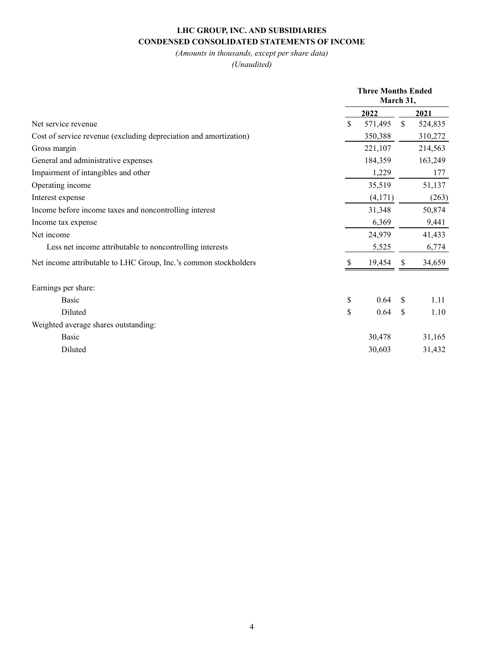## **LHC GROUP, INC. AND SUBSIDIARIES CONDENSED CONSOLIDATED STATEMENTS OF INCOME**

## *(Amounts in thousands, except per share data)*

|                                                                              | <b>Three Months Ended</b><br>March 31, |         |  |  |  |
|------------------------------------------------------------------------------|----------------------------------------|---------|--|--|--|
| 2022                                                                         |                                        | 2021    |  |  |  |
| Net service revenue<br>\$<br>571,495                                         | $\mathbb{S}$                           | 524,835 |  |  |  |
| Cost of service revenue (excluding depreciation and amortization)<br>350,388 |                                        | 310,272 |  |  |  |
| 221,107<br>Gross margin                                                      |                                        | 214,563 |  |  |  |
| General and administrative expenses<br>184,359                               |                                        | 163,249 |  |  |  |
| Impairment of intangibles and other<br>1,229                                 |                                        | 177     |  |  |  |
| 35,519<br>Operating income                                                   |                                        | 51,137  |  |  |  |
| (4,171)<br>Interest expense                                                  |                                        | (263)   |  |  |  |
| 31,348<br>Income before income taxes and noncontrolling interest             |                                        | 50,874  |  |  |  |
| 6,369<br>Income tax expense                                                  |                                        | 9,441   |  |  |  |
| 24,979<br>Net income                                                         |                                        | 41,433  |  |  |  |
| Less net income attributable to noncontrolling interests<br>5,525            |                                        | 6,774   |  |  |  |
| Net income attributable to LHC Group, Inc.'s common stockholders<br>19,454   | <b>S</b>                               | 34,659  |  |  |  |
| Earnings per share:                                                          |                                        |         |  |  |  |
| \$<br><b>Basic</b><br>0.64                                                   | -S                                     | 1.11    |  |  |  |
| \$<br>Diluted<br>0.64                                                        | <sup>\$</sup>                          | 1.10    |  |  |  |
| Weighted average shares outstanding:                                         |                                        |         |  |  |  |
| Basic<br>30,478                                                              |                                        | 31,165  |  |  |  |
| Diluted<br>30,603                                                            |                                        | 31,432  |  |  |  |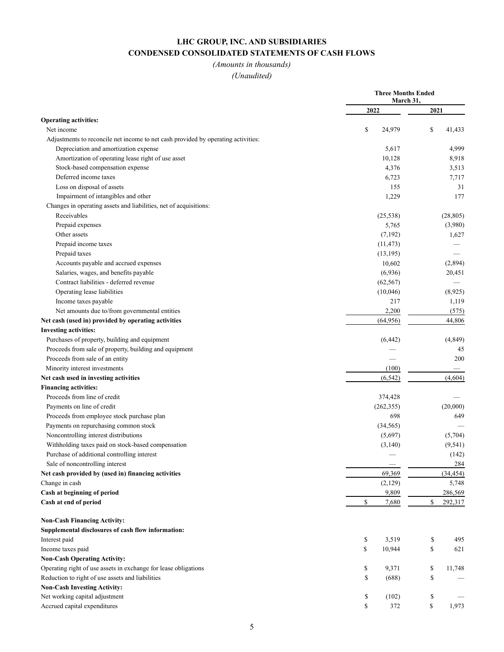## **LHC GROUP, INC. AND SUBSIDIARIES CONDENSED CONSOLIDATED STATEMENTS OF CASH FLOWS**

# *(Amounts in thousands)*

|                                                                                   | <b>Three Months Ended</b><br>March 31, |                        |
|-----------------------------------------------------------------------------------|----------------------------------------|------------------------|
|                                                                                   | 2022                                   | 2021                   |
| <b>Operating activities:</b>                                                      |                                        |                        |
| Net income                                                                        | \$<br>24,979                           | $\mathbb{S}$<br>41,433 |
| Adjustments to reconcile net income to net cash provided by operating activities: |                                        |                        |
| Depreciation and amortization expense                                             | 5,617                                  | 4,999                  |
| Amortization of operating lease right of use asset                                | 10,128                                 | 8,918                  |
| Stock-based compensation expense                                                  | 4,376                                  | 3,513                  |
| Deferred income taxes                                                             | 6,723                                  | 7,717                  |
| Loss on disposal of assets                                                        | 155                                    | 31                     |
| Impairment of intangibles and other                                               | 1,229                                  | 177                    |
| Changes in operating assets and liabilities, net of acquisitions:                 |                                        |                        |
| Receivables                                                                       | (25, 538)                              | (28, 805)              |
| Prepaid expenses                                                                  | 5,765                                  | (3,980)                |
| Other assets                                                                      | (7,192)                                | 1,627                  |
| Prepaid income taxes                                                              | (11, 473)                              |                        |
| Prepaid taxes                                                                     | (13, 195)                              |                        |
| Accounts payable and accrued expenses                                             | 10,602                                 | (2,894)                |
| Salaries, wages, and benefits payable                                             | (6,936)                                | 20,451                 |
| Contract liabilities - deferred revenue                                           | (62, 567)                              |                        |
| Operating lease liabilities                                                       | (10,046)                               | (8,925)                |
| Income taxes payable                                                              | 217                                    | 1,119                  |
|                                                                                   |                                        |                        |
| Net amounts due to/from governmental entities                                     | 2,200                                  | (575)                  |
| Net cash (used in) provided by operating activities                               | (64,956)                               | 44,806                 |
| <b>Investing activities:</b>                                                      |                                        |                        |
| Purchases of property, building and equipment                                     | (6, 442)                               | (4,849)                |
| Proceeds from sale of property, building and equipment                            |                                        | 45                     |
| Proceeds from sale of an entity                                                   |                                        | 200                    |
| Minority interest investments                                                     | (100)                                  |                        |
| Net cash used in investing activities                                             | (6, 542)                               | (4,604)                |
| <b>Financing activities:</b>                                                      |                                        |                        |
| Proceeds from line of credit                                                      | 374,428                                |                        |
| Payments on line of credit                                                        | (262, 355)                             | (20,000)               |
| Proceeds from employee stock purchase plan                                        | 698                                    | 649                    |
| Payments on repurchasing common stock                                             | (34, 565)                              |                        |
| Noncontrolling interest distributions                                             | (5,697)                                | (5,704)                |
| Withholding taxes paid on stock-based compensation                                | (3,140)                                | (9, 541)               |
| Purchase of additional controlling interest                                       |                                        | (142)                  |
| Sale of noncontrolling interest                                                   |                                        | 284                    |
| Net cash provided by (used in) financing activities                               | 69,369                                 | (34, 454)              |
| Change in cash                                                                    | (2,129)                                | 5,748                  |
| Cash at beginning of period                                                       | 9,809                                  | 286,569                |
| Cash at end of period                                                             | \$<br>7,680                            | \$<br>292,317          |
| <b>Non-Cash Financing Activity:</b>                                               |                                        |                        |
| Supplemental disclosures of cash flow information:                                |                                        |                        |
| Interest paid                                                                     | \$<br>3,519                            | \$<br>495              |
| Income taxes paid                                                                 | \$<br>10,944                           | \$<br>621              |
| <b>Non-Cash Operating Activity:</b>                                               |                                        |                        |
| Operating right of use assets in exchange for lease obligations                   | \$<br>9,371                            | \$<br>11,748           |
| Reduction to right of use assets and liabilities                                  | \$<br>(688)                            | \$                     |
| <b>Non-Cash Investing Activity:</b>                                               |                                        |                        |
| Net working capital adjustment                                                    | \$<br>(102)                            | \$                     |
| Accrued capital expenditures                                                      | \$<br>372                              | \$<br>1,973            |
|                                                                                   |                                        |                        |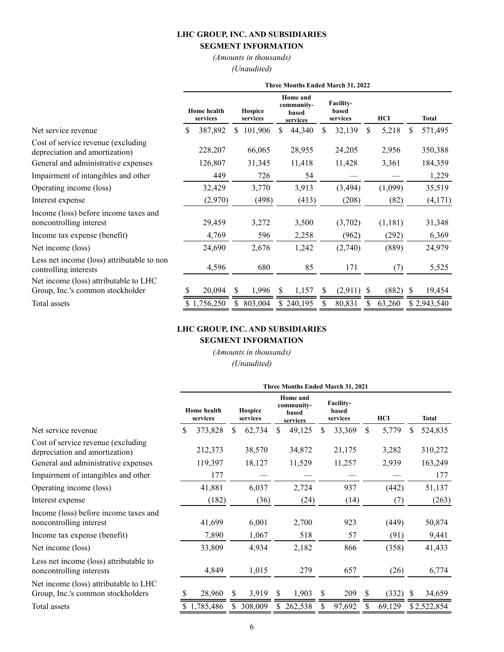## **LHC GROUP, INC. AND SUBSIDIARIES**

## **SEGMENT INFORMATION**

*(Amounts in thousands) (Unaudited)*

|                                                                           | Three Months Ended March 31, 2022 |                                |    |                            |   |                                             |    |                                |               |         |              |              |
|---------------------------------------------------------------------------|-----------------------------------|--------------------------------|----|----------------------------|---|---------------------------------------------|----|--------------------------------|---------------|---------|--------------|--------------|
|                                                                           |                                   | <b>Home</b> health<br>services |    | <b>Hospice</b><br>services |   | Home and<br>community-<br>based<br>services |    | Facility-<br>based<br>services |               | HCI     |              | <b>Total</b> |
| Net service revenue                                                       | S                                 | 387,892                        | S. | 101,906                    | S | 44,340                                      | S. | 32,139                         | <sup>\$</sup> | 5,218   | \$.          | 571,495      |
| Cost of service revenue (excluding<br>depreciation and amortization)      |                                   | 228,207                        |    | 66,065                     |   | 28,955                                      |    | 24,205                         |               | 2,956   |              | 350,388      |
| General and administrative expenses                                       |                                   | 126,807                        |    | 31,345                     |   | 11,418                                      |    | 11,428                         |               | 3,361   |              | 184,359      |
| Impairment of intangibles and other                                       |                                   | 449                            |    | 726                        |   | 54                                          |    |                                |               |         |              | 1,229        |
| Operating income (loss)                                                   |                                   | 32,429                         |    | 3,770                      |   | 3,913                                       |    | (3, 494)                       |               | (1,099) |              | 35,519       |
| Interest expense                                                          |                                   | (2,970)                        |    | (498)                      |   | (413)                                       |    | (208)                          |               | (82)    |              | (4,171)      |
| Income (loss) before income taxes and<br>noncontrolling interest          |                                   | 29,459                         |    | 3,272                      |   | 3,500                                       |    | (3,702)                        |               | (1,181) |              | 31,348       |
| Income tax expense (benefit)                                              |                                   | 4,769                          |    | 596                        |   | 2,258                                       |    | (962)                          |               | (292)   |              | 6,369        |
| Net income (loss)                                                         |                                   | 24,690                         |    | 2,676                      |   | 1,242                                       |    | (2,740)                        |               | (889)   |              | 24,979       |
| Less net income (loss) attributable to non<br>controlling interests       |                                   | 4,596                          |    | 680                        |   | 85                                          |    | 171                            |               | (7)     |              | 5,525        |
| Net income (loss) attributable to LHC<br>Group, Inc.'s common stockholder |                                   | 20,094                         | S  | 1,996                      | S | 1,157                                       | S  | $(2,911)$ \$                   |               | (882)   | <sup>S</sup> | 19,454       |
| Total assets                                                              |                                   | 1,756,250                      | \$ | 803,004                    |   | \$240,195                                   |    | 80,831                         |               | 63,260  |              | \$2,943,540  |

### **LHC GROUP, INC. AND SUBSIDIARIES**

## **SEGMENT INFORMATION**

*(Amounts in thousands) (Unaudited)*

|                                                                            | Three Months Ended March 31, 2021 |                                |     |                            |     |                                             |    |                                       |               |            |    |              |
|----------------------------------------------------------------------------|-----------------------------------|--------------------------------|-----|----------------------------|-----|---------------------------------------------|----|---------------------------------------|---------------|------------|----|--------------|
|                                                                            |                                   | <b>Home</b> health<br>services |     | <b>Hospice</b><br>services |     | Home and<br>community-<br>based<br>services |    | <b>Facility-</b><br>based<br>services |               | <b>HCI</b> |    | <b>Total</b> |
| Net service revenue                                                        | S                                 | 373,828                        | S   | 62,734                     | \$. | 49,125                                      | S  | 33,369                                | <sup>\$</sup> | 5,779      |    | 524,835      |
| Cost of service revenue (excluding<br>depreciation and amortization)       |                                   | 212,373                        |     | 38,570                     |     | 34,872                                      |    | 21,175                                |               | 3,282      |    | 310,272      |
| General and administrative expenses                                        |                                   | 119,397                        |     | 18,127                     |     | 11,529                                      |    | 11,257                                |               | 2,939      |    | 163,249      |
| Impairment of intangibles and other                                        |                                   | 177                            |     |                            |     |                                             |    |                                       |               |            |    | 177          |
| Operating income (loss)                                                    |                                   | 41,881                         |     | 6,037                      |     | 2,724                                       |    | 937                                   |               | (442)      |    | 51,137       |
| Interest expense                                                           |                                   | (182)                          |     | (36)                       |     | (24)                                        |    | (14)                                  |               | (7)        |    | (263)        |
| Income (loss) before income taxes and<br>noncontrolling interest           |                                   | 41,699                         |     | 6,001                      |     | 2,700                                       |    | 923                                   |               | (449)      |    | 50,874       |
| Income tax expense (benefit)                                               |                                   | 7,890                          |     | 1,067                      |     | 518                                         |    | 57                                    |               | (91)       |    | 9,441        |
| Net income (loss)                                                          |                                   | 33,809                         |     | 4,934                      |     | 2,182                                       |    | 866                                   |               | (358)      |    | 41,433       |
| Less net income (loss) attributable to<br>noncontrolling interests         |                                   | 4,849                          |     | 1,015                      |     | 279                                         |    | 657                                   |               | (26)       |    | 6,774        |
| Net income (loss) attributable to LHC<br>Group, Inc.'s common stockholders |                                   | 28,960                         | \$. | 3,919                      | S   | 1,903                                       | \$ | 209                                   | <b>S</b>      | (332)      | -S | 34,659       |
| Total assets                                                               |                                   | 1,785,486                      | S.  | 308,009                    | \$  | 262,538                                     |    | 97,692                                |               | 69,129     |    | \$2,522,854  |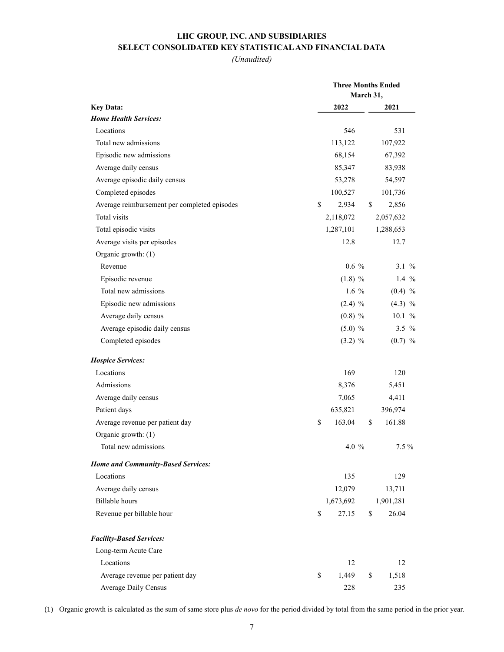### **LHC GROUP, INC. AND SUBSIDIARIES SELECT CONSOLIDATED KEY STATISTICAL AND FINANCIAL DATA**

*(Unaudited)* 

|                                              | <b>Three Months Ended</b><br>March 31, |      |           |          |  |  |  |  |  |  |
|----------------------------------------------|----------------------------------------|------|-----------|----------|--|--|--|--|--|--|
| <b>Key Data:</b>                             | 2022                                   |      | 2021      |          |  |  |  |  |  |  |
| <b>Home Health Services:</b>                 |                                        |      |           |          |  |  |  |  |  |  |
| Locations                                    | 546                                    |      | 531       |          |  |  |  |  |  |  |
| Total new admissions                         | 113,122                                |      | 107,922   |          |  |  |  |  |  |  |
| Episodic new admissions                      | 68,154                                 |      | 67,392    |          |  |  |  |  |  |  |
| Average daily census                         | 85,347                                 |      | 83,938    |          |  |  |  |  |  |  |
| Average episodic daily census                | 53,278                                 |      | 54,597    |          |  |  |  |  |  |  |
| Completed episodes                           | 100,527                                |      | 101,736   |          |  |  |  |  |  |  |
| Average reimbursement per completed episodes | \$<br>2,934                            | \$   | 2,856     |          |  |  |  |  |  |  |
| Total visits                                 | 2,118,072                              |      | 2,057,632 |          |  |  |  |  |  |  |
| Total episodic visits                        | 1,287,101                              |      | 1,288,653 |          |  |  |  |  |  |  |
| Average visits per episodes                  | 12.8                                   |      | 12.7      |          |  |  |  |  |  |  |
| Organic growth: (1)                          |                                        |      |           |          |  |  |  |  |  |  |
| Revenue                                      | $0.6\%$                                |      |           | $3.1 \%$ |  |  |  |  |  |  |
| Episodic revenue                             | $(1.8) \%$                             |      |           | 1.4 $%$  |  |  |  |  |  |  |
| Total new admissions                         | 1.6 $%$                                |      | $(0.4)$ % |          |  |  |  |  |  |  |
| Episodic new admissions                      | $(2.4)$ %                              |      | $(4.3)$ % |          |  |  |  |  |  |  |
| Average daily census                         | $(0.8)$ %                              |      | 10.1%     |          |  |  |  |  |  |  |
| Average episodic daily census                | $(5.0)$ %                              |      |           | $3.5 \%$ |  |  |  |  |  |  |
| Completed episodes                           | $(3.2)$ %                              |      | $(0.7)$ % |          |  |  |  |  |  |  |
| <b>Hospice Services:</b>                     |                                        |      |           |          |  |  |  |  |  |  |
| Locations                                    | 169                                    |      | 120       |          |  |  |  |  |  |  |
| Admissions                                   | 8,376                                  |      | 5,451     |          |  |  |  |  |  |  |
| Average daily census                         | 7,065                                  |      | 4,411     |          |  |  |  |  |  |  |
| Patient days                                 | 635,821                                |      | 396,974   |          |  |  |  |  |  |  |
| Average revenue per patient day              | \$<br>163.04                           | $\$$ | 161.88    |          |  |  |  |  |  |  |
| Organic growth: (1)                          |                                        |      |           |          |  |  |  |  |  |  |
| Total new admissions                         | 4.0 %                                  |      | $7.5\%$   |          |  |  |  |  |  |  |
| <b>Home and Community-Based Services:</b>    |                                        |      |           |          |  |  |  |  |  |  |
| Locations                                    | 135                                    |      | 129       |          |  |  |  |  |  |  |
| Average daily census                         | 12,079                                 |      | 13,711    |          |  |  |  |  |  |  |
| <b>Billable</b> hours                        | 1,673,692                              |      | 1,901,281 |          |  |  |  |  |  |  |
| Revenue per billable hour                    | \$<br>27.15                            | \$   | 26.04     |          |  |  |  |  |  |  |
| <b>Facility-Based Services:</b>              |                                        |      |           |          |  |  |  |  |  |  |
| Long-term Acute Care                         |                                        |      |           |          |  |  |  |  |  |  |
| Locations                                    | 12                                     |      | 12        |          |  |  |  |  |  |  |
| Average revenue per patient day              | \$<br>1,449                            | \$   | 1,518     |          |  |  |  |  |  |  |
| Average Daily Census                         | 228                                    |      | 235       |          |  |  |  |  |  |  |

(1) Organic growth is calculated as the sum of same store plus *de novo* for the period divided by total from the same period in the prior year.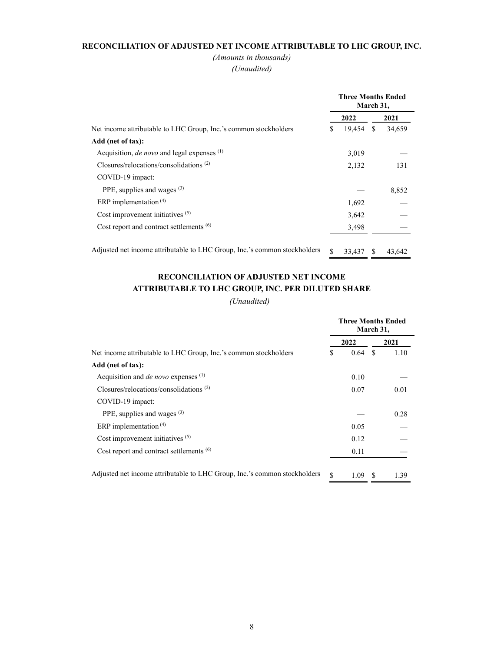#### **RECONCILIATION OF ADJUSTED NET INCOME ATTRIBUTABLE TO LHC GROUP, INC.**

#### *(Amounts in thousands) (Unaudited)*

|                                                                           | <b>Three Months Ended</b><br>March 31, |        |     |        |  |
|---------------------------------------------------------------------------|----------------------------------------|--------|-----|--------|--|
|                                                                           |                                        | 2022   |     | 2021   |  |
| Net income attributable to LHC Group, Inc.'s common stockholders          | S                                      | 19,454 | \$. | 34,659 |  |
| Add (net of tax):                                                         |                                        |        |     |        |  |
| Acquisition, <i>de novo</i> and legal expenses $(1)$                      |                                        | 3,019  |     |        |  |
| $Closures/relocations/consolidations(2)$                                  |                                        | 2,132  |     | 131    |  |
| COVID-19 impact:                                                          |                                        |        |     |        |  |
| PPE, supplies and wages (3)                                               |                                        |        |     | 8,852  |  |
| ERP implementation $(4)$                                                  |                                        | 1,692  |     |        |  |
| Cost improvement initiatives (5)                                          |                                        | 3,642  |     |        |  |
| Cost report and contract settlements <sup>(6)</sup>                       |                                        | 3,498  |     |        |  |
| Adjusted net income attributable to LHC Group, Inc.'s common stockholders | \$                                     | 33,437 | -S  | 43,642 |  |

## **RECONCILIATION OF ADJUSTED NET INCOME ATTRIBUTABLE TO LHC GROUP, INC. PER DILUTED SHARE**

|                                                                           |               | <b>Three Months Ended</b><br>March 31, |     |      |
|---------------------------------------------------------------------------|---------------|----------------------------------------|-----|------|
|                                                                           |               | 2022                                   |     | 2021 |
| Net income attributable to LHC Group, Inc.'s common stockholders          | \$            | $0.64 \quad$ \$                        |     | 1.10 |
| Add (net of tax):                                                         |               |                                        |     |      |
| Acquisition and <i>de novo</i> expenses $(1)$                             |               | 0.10                                   |     |      |
| $Closures/relocations/consolidations(2)$                                  |               | 0.07                                   |     | 0.01 |
| COVID-19 impact:                                                          |               |                                        |     |      |
| PPE, supplies and wages (3)                                               |               |                                        |     | 0.28 |
| ERP implementation $(4)$                                                  |               | 0.05                                   |     |      |
| Cost improvement initiatives <sup>(5)</sup>                               |               | 0.12                                   |     |      |
| Cost report and contract settlements <sup>(6)</sup>                       |               | 0.11                                   |     |      |
| Adjusted net income attributable to LHC Group, Inc.'s common stockholders | $\mathcal{S}$ | 1.09                                   | \$. | 1.39 |